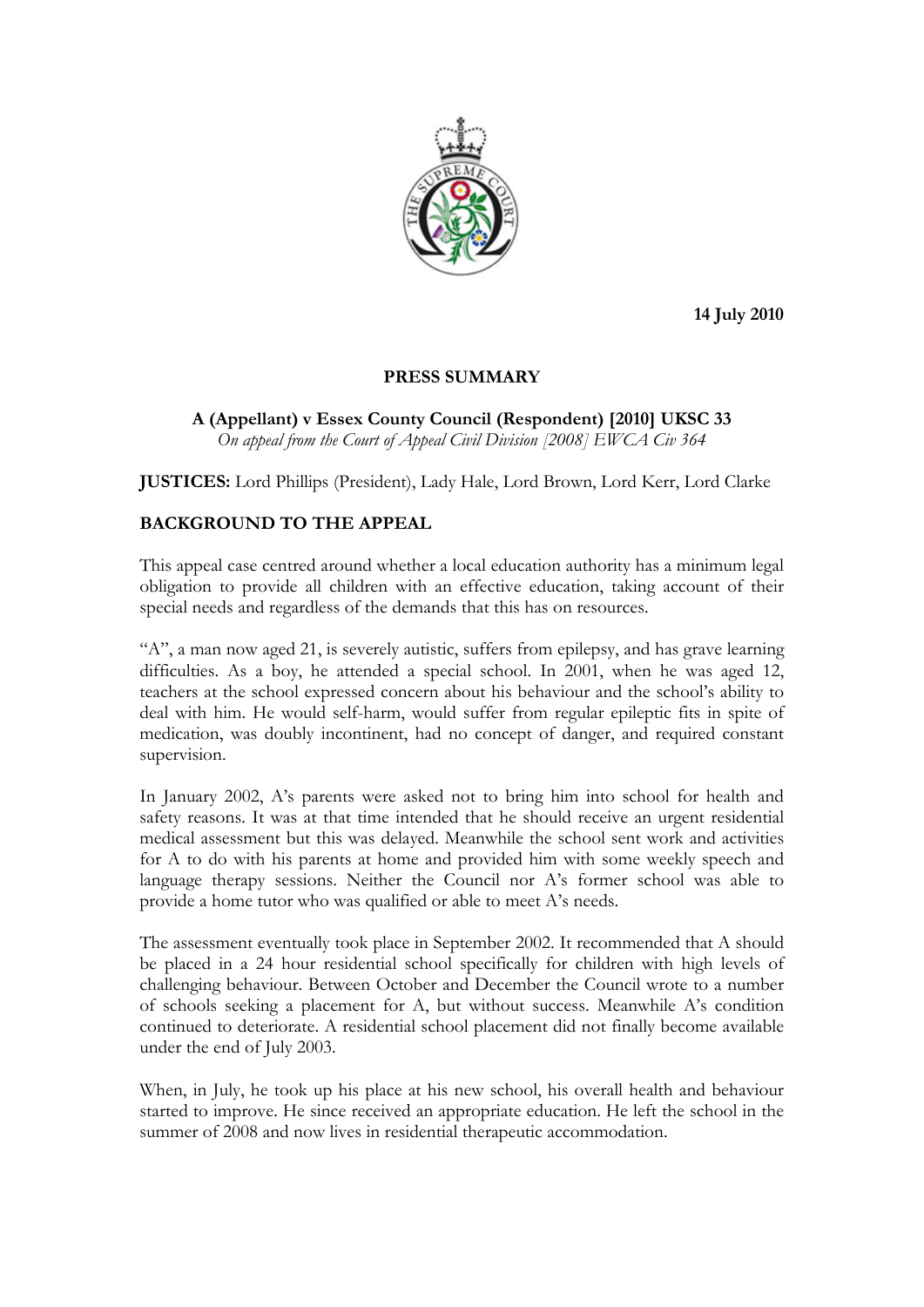

**14 July 2010** 

## **PRESS SUMMARY**

**A (Appellant) v Essex County Council (Respondent) [2010] UKSC 33**  *On appeal from the Court of Appeal Civil Division [2008] EWCA Civ 364* 

**JUSTICES:** Lord Phillips (President), Lady Hale, Lord Brown, Lord Kerr, Lord Clarke

## **BACKGROUND TO THE APPEAL**

This appeal case centred around whether a local education authority has a minimum legal obligation to provide all children with an effective education, taking account of their special needs and regardless of the demands that this has on resources.

"A", a man now aged 21, is severely autistic, suffers from epilepsy, and has grave learning difficulties. As a boy, he attended a special school. In 2001, when he was aged 12, teachers at the school expressed concern about his behaviour and the school's ability to deal with him. He would self-harm, would suffer from regular epileptic fits in spite of medication, was doubly incontinent, had no concept of danger, and required constant supervision.

In January 2002, A's parents were asked not to bring him into school for health and safety reasons. It was at that time intended that he should receive an urgent residential medical assessment but this was delayed. Meanwhile the school sent work and activities for A to do with his parents at home and provided him with some weekly speech and language therapy sessions. Neither the Council nor A's former school was able to provide a home tutor who was qualified or able to meet A's needs.

The assessment eventually took place in September 2002. It recommended that A should be placed in a 24 hour residential school specifically for children with high levels of challenging behaviour. Between October and December the Council wrote to a number of schools seeking a placement for A, but without success. Meanwhile A's condition continued to deteriorate. A residential school placement did not finally become available under the end of July 2003.

When, in July, he took up his place at his new school, his overall health and behaviour started to improve. He since received an appropriate education. He left the school in the summer of 2008 and now lives in residential therapeutic accommodation.